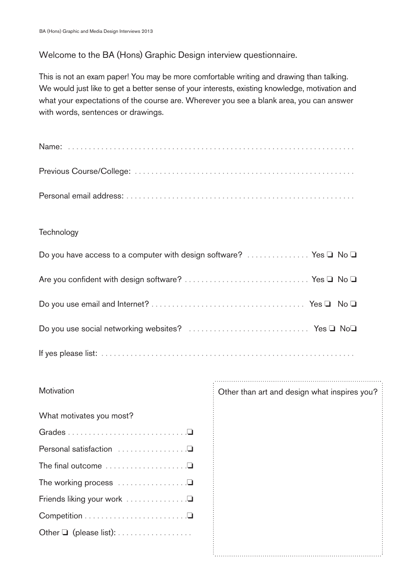## Welcome to the BA (Hons) Graphic Design interview questionnaire.

This is not an exam paper! You may be more comfortable writing and drawing than talking. We would just like to get a better sense of your interests, existing knowledge, motivation and what your expectations of the course are. Wherever you see a blank area, you can answer with words, sentences or drawings.

## **Technology**

| Do you have access to a computer with design software?  Yes $\Box$ No $\Box$ |
|------------------------------------------------------------------------------|
|                                                                              |
|                                                                              |
|                                                                              |
|                                                                              |

## **Motivation**

| What motivates you most? |
|--------------------------|
|                          |
|                          |
|                          |
|                          |
|                          |
|                          |
|                          |

Other than art and design what inspires you?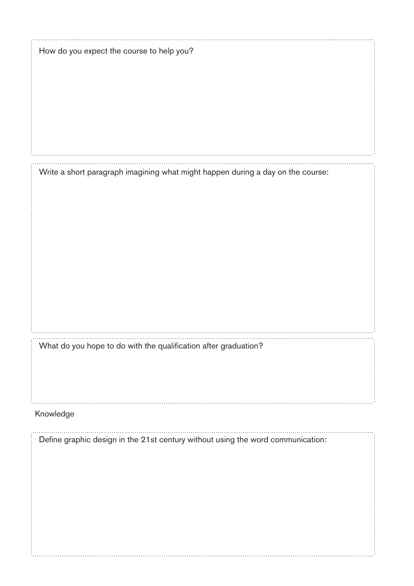| How do you expect the course to help you?                                       |
|---------------------------------------------------------------------------------|
|                                                                                 |
|                                                                                 |
|                                                                                 |
|                                                                                 |
|                                                                                 |
|                                                                                 |
| Write a short paragraph imagining what might happen during a day on the course: |
|                                                                                 |
|                                                                                 |
|                                                                                 |
|                                                                                 |
|                                                                                 |
|                                                                                 |
|                                                                                 |
|                                                                                 |
| What do you hope to do with the qualification after graduation?                 |
|                                                                                 |
|                                                                                 |
|                                                                                 |
| Knowledge                                                                       |
| Define graphic design in the 21st century without using the word communication: |
|                                                                                 |
|                                                                                 |
|                                                                                 |
|                                                                                 |
|                                                                                 |
|                                                                                 |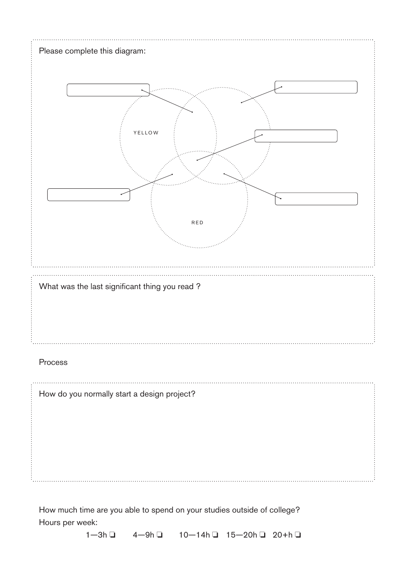|         | <b>YELLOW</b>                                  |  |
|---------|------------------------------------------------|--|
|         | RED                                            |  |
|         | What was the last significant thing you read ? |  |
|         |                                                |  |
| Process |                                                |  |

Hours per week:

1—3h ❏ 4—9h ❏ 10—14h ❏ 15—20h ❏ 20+h ❏